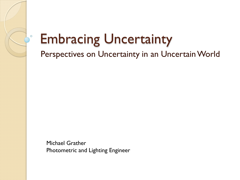# Embracing Uncertainty

 $\circ$ 

Perspectives on Uncertainty in an Uncertain World

Michael Grather Photometric and Lighting Engineer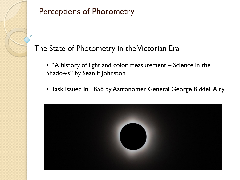

#### The State of Photometry in the Victorian Era

- "A history of light and color measurement Science in the Shadows" by Sean F Johnston
- Task issued in 1858 by Astronomer General George Biddell Airy

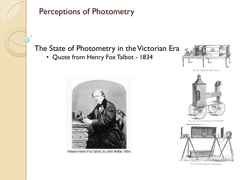

### The State of Photometry in the Victorian Era

• Quote from Henry Fox Talbot - 1834



William Henry Fox Talbot, by John Moffat, 1864.





FIG. 14.-SUGG'S TRAVELLING PHOTOMETER.



FIG. 8.-THE PORTABLE PHOTOMETER.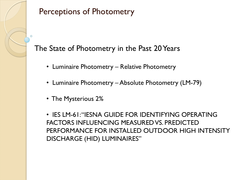

#### The State of Photometry in the Past 20 Years

- Luminaire Photometry Relative Photometry
- Luminaire Photometry Absolute Photometry (LM-79)
- The Mysterious 2%

• IES LM-61: "IESNA GUIDE FOR IDENTIFYING OPERATING FACTORS INFLUENCING MEASURED VS. PREDICTED PERFORMANCE FOR INSTALLED OUTDOOR HIGH INTENSITY DISCHARGE (HID) LUMINAIRES"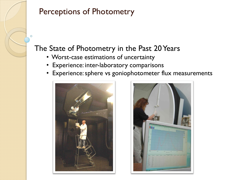

#### The State of Photometry in the Past 20 Years

- Worst-case estimations of uncertainty
- Experience: inter-laboratory comparisons
- Experience: sphere vs goniophotometer flux measurements



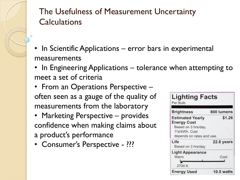## The Usefulness of Measurement Uncertainty **Calculations**

- In Scientific Applications error bars in experimental measurements
- In Engineering Applications tolerance when attempting to meet a set of criteria
- From an Operations Perspective often seen as a gauge of the quality of measurements from the laboratory
- Marketing Perspective provides confidence when making claims about a product's performance
- Consumer's Perspective ???

| <b>Brightness</b>                                                                                                  | 800 lumens        |
|--------------------------------------------------------------------------------------------------------------------|-------------------|
| <b>Estimated Yearly</b><br><b>Energy Cost</b><br>Based on 3 hrs/day,<br>11¢/kWh. Cost<br>depends on rates and use. | \$1.26            |
| Life<br>Based on 3 hrs/day                                                                                         | 22.8 years        |
| <b>Light Appearance</b><br>Warm<br>2700 K                                                                          | Cool              |
| <b>Energy Used</b>                                                                                                 | <b>10.5 watts</b> |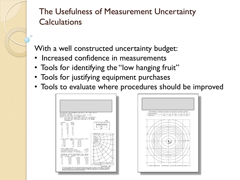## The Usefulness of Measurement Uncertainty **Calculations**

With a well constructed uncertainty budget:

- Increased confidence in measurements
- Tools for identifying the "low hanging fruit"
- Tools for justifying equipment purchases
- Tools to evaluate where procedures should be improved



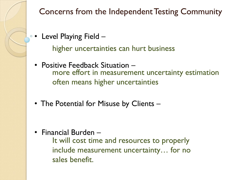Concerns from the Independent Testing Community

 $\circ$  • Level Playing Field  $-$ 

higher uncertainties can hurt business

- Positive Feedback Situation more effort in measurement uncertainty estimation often means higher uncertainties
- The Potential for Misuse by Clients –

• Financial Burden –

It will cost time and resources to properly include measurement uncertainty… for no sales benefit.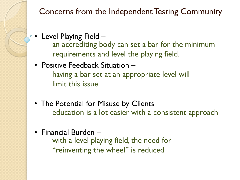Concerns from the Independent Testing Community

- $\circ$  Level Playing Field  $$ an accrediting body can set a bar for the minimum requirements and level the playing field.
	- Positive Feedback Situation having a bar set at an appropriate level will limit this issue
	- The Potential for Misuse by Clients education is a lot easier with a consistent approach
	- Financial Burden –

with a level playing field, the need for "reinventing the wheel" is reduced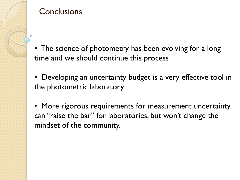

#### **Conclusions**

- The science of photometry has been evolving for a long time and we should continue this process
- Developing an uncertainty budget is a very effective tool in the photometric laboratory
- More rigorous requirements for measurement uncertainty can "raise the bar" for laboratories, but won't change the mindset of the community.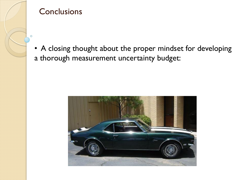

#### **Conclusions**

• A closing thought about the proper mindset for developing a thorough measurement uncertainty budget: